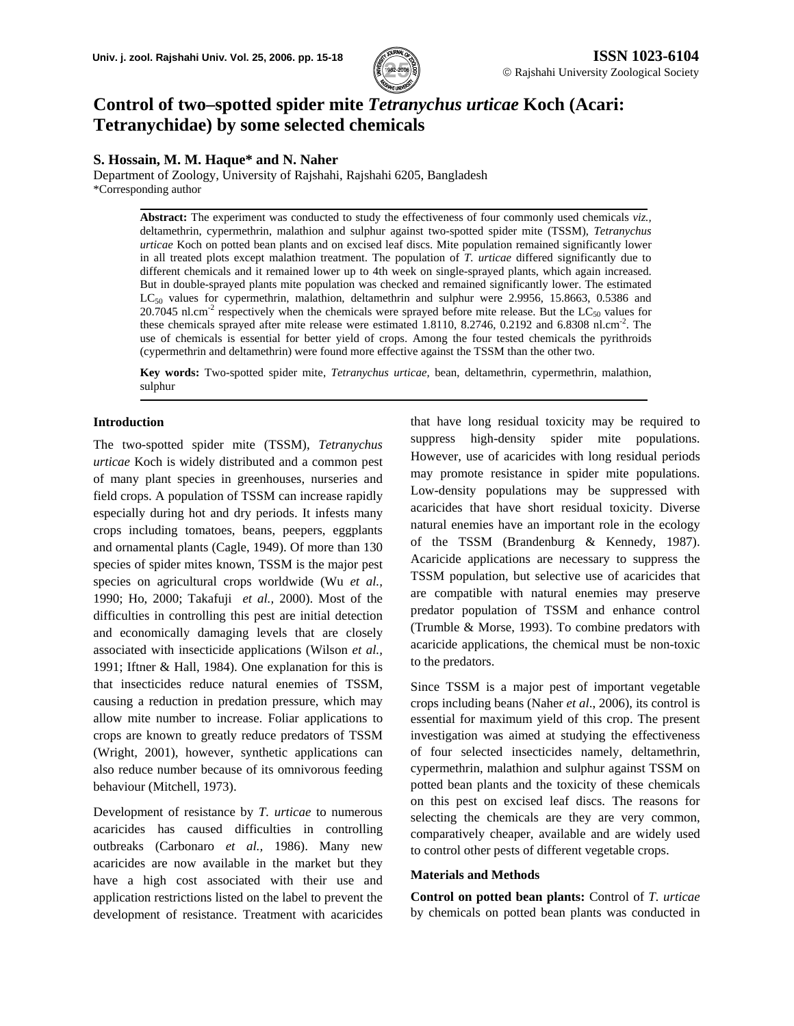

# **Control of two–spotted spider mite** *Tetranychus urticae* **Koch (Acari: Tetranychidae) by some selected chemicals**

## **S. Hossain, M. M. Haque\* and N. Naher**

Department of Zoology, University of Rajshahi, Rajshahi 6205, Bangladesh \*Corresponding author

> **Abstract:** The experiment was conducted to study the effectiveness of four commonly used chemicals *viz.,* deltamethrin, cypermethrin, malathion and sulphur against two-spotted spider mite (TSSM), *Tetranychus urticae* Koch on potted bean plants and on excised leaf discs. Mite population remained significantly lower in all treated plots except malathion treatment. The population of *T. urticae* differed significantly due to different chemicals and it remained lower up to 4th week on single-sprayed plants, which again increased. But in double-sprayed plants mite population was checked and remained significantly lower. The estimated LC<sub>50</sub> values for cypermethrin, malathion, deltamethrin and sulphur were 2.9956, 15.8663, 0.5386 and 20.7045 nl.cm<sup>-2</sup> respectively when the chemicals were sprayed before mite release. But the  $LC_{50}$  values for these chemicals sprayed after mite release were estimated 1.8110, 8.2746, 0.2192 and 6.8308 nl.cm-2. The use of chemicals is essential for better yield of crops. Among the four tested chemicals the pyrithroids (cypermethrin and deltamethrin) were found more effective against the TSSM than the other two.

> **Key words:** Two-spotted spider mite, *Tetranychus urticae,* bean, deltamethrin, cypermethrin, malathion, sulphur

### **Introduction**

The two-spotted spider mite (TSSM), *Tetranychus urticae* Koch is widely distributed and a common pest of many plant species in greenhouses, nurseries and field crops. A population of TSSM can increase rapidly especially during hot and dry periods. It infests many crops including tomatoes, beans, peepers, eggplants and ornamental plants (Cagle, 1949). Of more than 130 species of spider mites known, TSSM is the major pest species on agricultural crops worldwide (Wu *et al.,* 1990; Ho, 2000; Takafuji *et al.,* 2000). Most of the difficulties in controlling this pest are initial detection and economically damaging levels that are closely associated with insecticide applications (Wilson *et al.,* 1991; Iftner & Hall, 1984). One explanation for this is that insecticides reduce natural enemies of TSSM, causing a reduction in predation pressure, which may allow mite number to increase. Foliar applications to crops are known to greatly reduce predators of TSSM (Wright, 2001), however, synthetic applications can also reduce number because of its omnivorous feeding behaviour (Mitchell, 1973).

Development of resistance by *T. urticae* to numerous acaricides has caused difficulties in controlling outbreaks (Carbonaro *et al.,* 1986). Many new acaricides are now available in the market but they have a high cost associated with their use and application restrictions listed on the label to prevent the development of resistance. Treatment with acaricides that have long residual toxicity may be required to suppress high-density spider mite populations. However, use of acaricides with long residual periods may promote resistance in spider mite populations. Low-density populations may be suppressed with acaricides that have short residual toxicity. Diverse natural enemies have an important role in the ecology of the TSSM (Brandenburg & Kennedy, 1987). Acaricide applications are necessary to suppress the TSSM population, but selective use of acaricides that are compatible with natural enemies may preserve predator population of TSSM and enhance control (Trumble & Morse, 1993). To combine predators with acaricide applications, the chemical must be non-toxic to the predators.

Since TSSM is a major pest of important vegetable crops including beans (Naher *et al*., 2006), its control is essential for maximum yield of this crop. The present investigation was aimed at studying the effectiveness of four selected insecticides namely, deltamethrin, cypermethrin, malathion and sulphur against TSSM on potted bean plants and the toxicity of these chemicals on this pest on excised leaf discs. The reasons for selecting the chemicals are they are very common, comparatively cheaper, available and are widely used to control other pests of different vegetable crops.

#### **Materials and Methods**

**Control on potted bean plants:** Control of *T. urticae*  by chemicals on potted bean plants was conducted in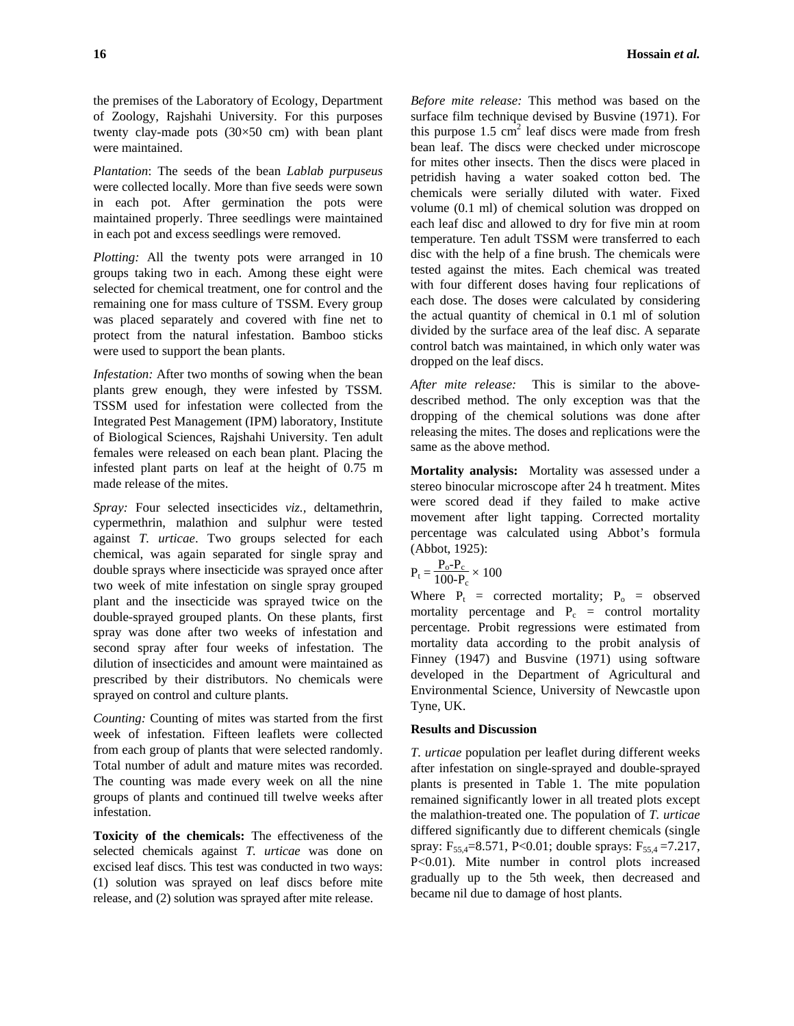the premises of the Laboratory of Ecology, Department of Zoology, Rajshahi University. For this purposes twenty clay-made pots  $(30\times50$  cm) with bean plant were maintained.

*Plantation*: The seeds of the bean *Lablab purpuseus*  were collected locally. More than five seeds were sown in each pot. After germination the pots were maintained properly. Three seedlings were maintained in each pot and excess seedlings were removed.

*Plotting:* All the twenty pots were arranged in 10 groups taking two in each. Among these eight were selected for chemical treatment, one for control and the remaining one for mass culture of TSSM. Every group was placed separately and covered with fine net to protect from the natural infestation. Bamboo sticks were used to support the bean plants.

*Infestation:* After two months of sowing when the bean plants grew enough, they were infested by TSSM*.* TSSM used for infestation were collected from the Integrated Pest Management (IPM) laboratory, Institute of Biological Sciences, Rajshahi University. Ten adult females were released on each bean plant. Placing the infested plant parts on leaf at the height of 0.75 m made release of the mites.

*Spray:* Four selected insecticides *viz.,* deltamethrin, cypermethrin, malathion and sulphur were tested against *T. urticae*. Two groups selected for each chemical, was again separated for single spray and double sprays where insecticide was sprayed once after two week of mite infestation on single spray grouped plant and the insecticide was sprayed twice on the double-sprayed grouped plants. On these plants, first spray was done after two weeks of infestation and second spray after four weeks of infestation. The dilution of insecticides and amount were maintained as prescribed by their distributors. No chemicals were sprayed on control and culture plants.

*Counting:* Counting of mites was started from the first week of infestation. Fifteen leaflets were collected from each group of plants that were selected randomly. Total number of adult and mature mites was recorded. The counting was made every week on all the nine groups of plants and continued till twelve weeks after infestation.

**Toxicity of the chemicals:** The effectiveness of the selected chemicals against *T. urticae* was done on excised leaf discs. This test was conducted in two ways: (1) solution was sprayed on leaf discs before mite release, and (2) solution was sprayed after mite release.

*Before mite release:* This method was based on the surface film technique devised by Busvine (1971). For this purpose  $1.5 \text{ cm}^2$  leaf discs were made from fresh bean leaf. The discs were checked under microscope for mites other insects. Then the discs were placed in petridish having a water soaked cotton bed. The chemicals were serially diluted with water. Fixed volume (0.1 ml) of chemical solution was dropped on each leaf disc and allowed to dry for five min at room temperature. Ten adult TSSM were transferred to each disc with the help of a fine brush. The chemicals were tested against the mites*.* Each chemical was treated with four different doses having four replications of each dose. The doses were calculated by considering the actual quantity of chemical in 0.1 ml of solution divided by the surface area of the leaf disc. A separate control batch was maintained, in which only water was dropped on the leaf discs.

*After mite release:* This is similar to the abovedescribed method. The only exception was that the dropping of the chemical solutions was done after releasing the mites. The doses and replications were the same as the above method.

**Mortality analysis:** Mortality was assessed under a stereo binocular microscope after 24 h treatment. Mites were scored dead if they failed to make active movement after light tapping. Corrected mortality percentage was calculated using Abbot's formula (Abbot, 1925):

$$
P_t = \frac{P_o - P_c}{100 - P_c} \times 100
$$

Where  $P_t$  = corrected mortality;  $P_0$  = observed mortality percentage and  $P_c$  = control mortality percentage. Probit regressions were estimated from mortality data according to the probit analysis of Finney (1947) and Busvine (1971) using software developed in the Department of Agricultural and Environmental Science, University of Newcastle upon Tyne, UK.

#### **Results and Discussion**

*T. urticae* population per leaflet during different weeks after infestation on single-sprayed and double-sprayed plants is presented in Table 1. The mite population remained significantly lower in all treated plots except the malathion-treated one. The population of *T. urticae* differed significantly due to different chemicals (single spray: F<sub>55,4</sub>=8.571, P<0.01; double sprays: F<sub>55,4</sub> =7.217, P<0.01). Mite number in control plots increased gradually up to the 5th week, then decreased and became nil due to damage of host plants.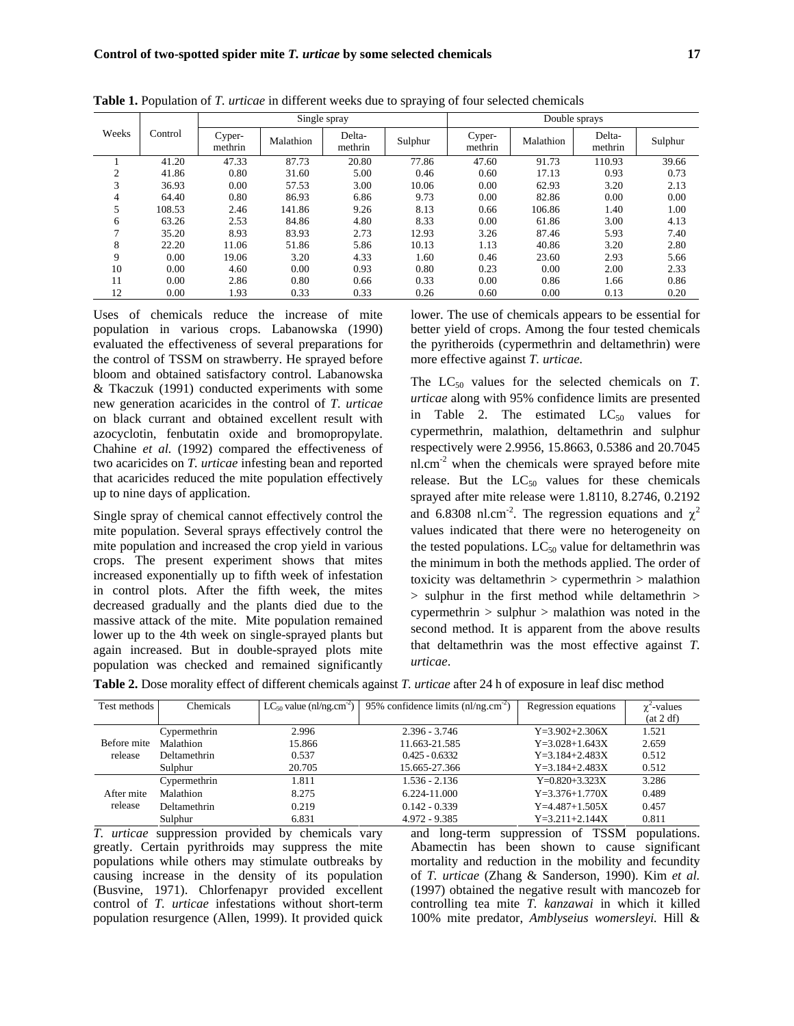| Weeks          | Control | Single spray      |           |                   |         | Double sprays     |           |                   |         |
|----------------|---------|-------------------|-----------|-------------------|---------|-------------------|-----------|-------------------|---------|
|                |         | Cyper-<br>methrin | Malathion | Delta-<br>methrin | Sulphur | Cyper-<br>methrin | Malathion | Delta-<br>methrin | Sulphur |
|                | 41.20   | 47.33             | 87.73     | 20.80             | 77.86   | 47.60             | 91.73     | 110.93            | 39.66   |
| $\overline{2}$ | 41.86   | 0.80              | 31.60     | 5.00              | 0.46    | 0.60              | 17.13     | 0.93              | 0.73    |
| 3              | 36.93   | 0.00              | 57.53     | 3.00              | 10.06   | 0.00              | 62.93     | 3.20              | 2.13    |
| 4              | 64.40   | 0.80              | 86.93     | 6.86              | 9.73    | 0.00              | 82.86     | 0.00              | 0.00    |
|                | 108.53  | 2.46              | 141.86    | 9.26              | 8.13    | 0.66              | 106.86    | 1.40              | 1.00    |
| 6              | 63.26   | 2.53              | 84.86     | 4.80              | 8.33    | 0.00              | 61.86     | 3.00              | 4.13    |
|                | 35.20   | 8.93              | 83.93     | 2.73              | 12.93   | 3.26              | 87.46     | 5.93              | 7.40    |
| 8              | 22.20   | 11.06             | 51.86     | 5.86              | 10.13   | 1.13              | 40.86     | 3.20              | 2.80    |
| 9              | 0.00    | 19.06             | 3.20      | 4.33              | 1.60    | 0.46              | 23.60     | 2.93              | 5.66    |
| 10             | 0.00    | 4.60              | 0.00      | 0.93              | 0.80    | 0.23              | 0.00      | 2.00              | 2.33    |
| 11             | 0.00    | 2.86              | 0.80      | 0.66              | 0.33    | 0.00              | 0.86      | 1.66              | 0.86    |
| 12             | 0.00    | 1.93              | 0.33      | 0.33              | 0.26    | 0.60              | 0.00      | 0.13              | 0.20    |

**Table 1.** Population of *T. urticae* in different weeks due to spraying of four selected chemicals

Uses of chemicals reduce the increase of mite population in various crops. Labanowska (1990) evaluated the effectiveness of several preparations for the control of TSSM on strawberry. He sprayed before bloom and obtained satisfactory control. Labanowska & Tkaczuk (1991) conducted experiments with some new generation acaricides in the control of *T. urticae*  on black currant and obtained excellent result with azocyclotin, fenbutatin oxide and bromopropylate. Chahine *et al.* (1992) compared the effectiveness of two acaricides on *T. urticae* infesting bean and reported that acaricides reduced the mite population effectively up to nine days of application.

Single spray of chemical cannot effectively control the mite population. Several sprays effectively control the mite population and increased the crop yield in various crops. The present experiment shows that mites increased exponentially up to fifth week of infestation in control plots. After the fifth week, the mites decreased gradually and the plants died due to the massive attack of the mite. Mite population remained lower up to the 4th week on single-sprayed plants but again increased. But in double-sprayed plots mite population was checked and remained significantly

lower. The use of chemicals appears to be essential for better yield of crops. Among the four tested chemicals the pyritheroids (cypermethrin and deltamethrin) were more effective against *T. urticae.* 

The  $LC_{50}$  values for the selected chemicals on  $T$ . *urticae* along with 95% confidence limits are presented in Table 2. The estimated  $LC_{50}$  values for cypermethrin, malathion, deltamethrin and sulphur respectively were 2.9956, 15.8663, 0.5386 and 20.7045 nl.cm-2 when the chemicals were sprayed before mite release. But the  $LC_{50}$  values for these chemicals sprayed after mite release were 1.8110, 8.2746, 0.2192 and 6.8308 nl.cm<sup>-2</sup>. The regression equations and  $\chi^2$ values indicated that there were no heterogeneity on the tested populations.  $LC_{50}$  value for deltamethrin was the minimum in both the methods applied. The order of toxicity was deltamethrin  $>$  cypermethrin  $>$  malathion > sulphur in the first method while deltamethrin > cypermethrin > sulphur > malathion was noted in the second method. It is apparent from the above results that deltamethrin was the most effective against *T. urticae*.

| Table 2. Dose morality effect of different chemicals against T. <i>urticae</i> after 24 h of exposure in leaf disc method |  |
|---------------------------------------------------------------------------------------------------------------------------|--|
|                                                                                                                           |  |

| Test methods           | Chemicals    | $LC_{50}$ value (nl/ng.cm <sup>-2</sup> ) | 95% confidence limits $(n1/ng.cm^{-2})$ | Regression equations | $\chi^2$ -values |
|------------------------|--------------|-------------------------------------------|-----------------------------------------|----------------------|------------------|
|                        |              |                                           |                                         |                      | (at 2 df)        |
| Before mite<br>release | Cypermethrin | 2.996                                     | $2.396 - 3.746$                         | $Y=3.902+2.306X$     | 1.521            |
|                        | Malathion    | 15.866                                    | 11.663-21.585                           | $Y=3.028+1.643X$     | 2.659            |
|                        | Deltamethrin | 0.537                                     | $0.425 - 0.6332$                        | $Y=3.184+2.483X$     | 0.512            |
|                        | Sulphur      | 20.705                                    | 15.665-27.366                           | $Y=3.184+2.483X$     | 0.512            |
|                        | Cypermethrin | 1.811                                     | $1.536 - 2.136$                         | $Y=0.820+3.323X$     | 3.286            |
| After mite<br>release  | Malathion    | 8.275                                     | 6.224-11.000                            | $Y=3.376+1.770X$     | 0.489            |
|                        | Deltamethrin | 0.219                                     | $0.142 - 0.339$                         | $Y=4.487+1.505X$     | 0.457            |
|                        | Sulphur      | 6.831                                     | $4.972 - 9.385$                         | $Y=3.211+2.144X$     | 0.811            |

*T. urticae* suppression provided by chemicals vary greatly. Certain pyrithroids may suppress the mite populations while others may stimulate outbreaks by causing increase in the density of its population (Busvine, 1971). Chlorfenapyr provided excellent control of *T. urticae* infestations without short-term population resurgence (Allen, 1999). It provided quick

and long-term suppression of TSSM populations. Abamectin has been shown to cause significant mortality and reduction in the mobility and fecundity of *T. urticae* (Zhang & Sanderson, 1990). Kim *et al.* (1997) obtained the negative result with mancozeb for controlling tea mite *T. kanzawai* in which it killed 100% mite predator, *Amblyseius womersleyi.* Hill &